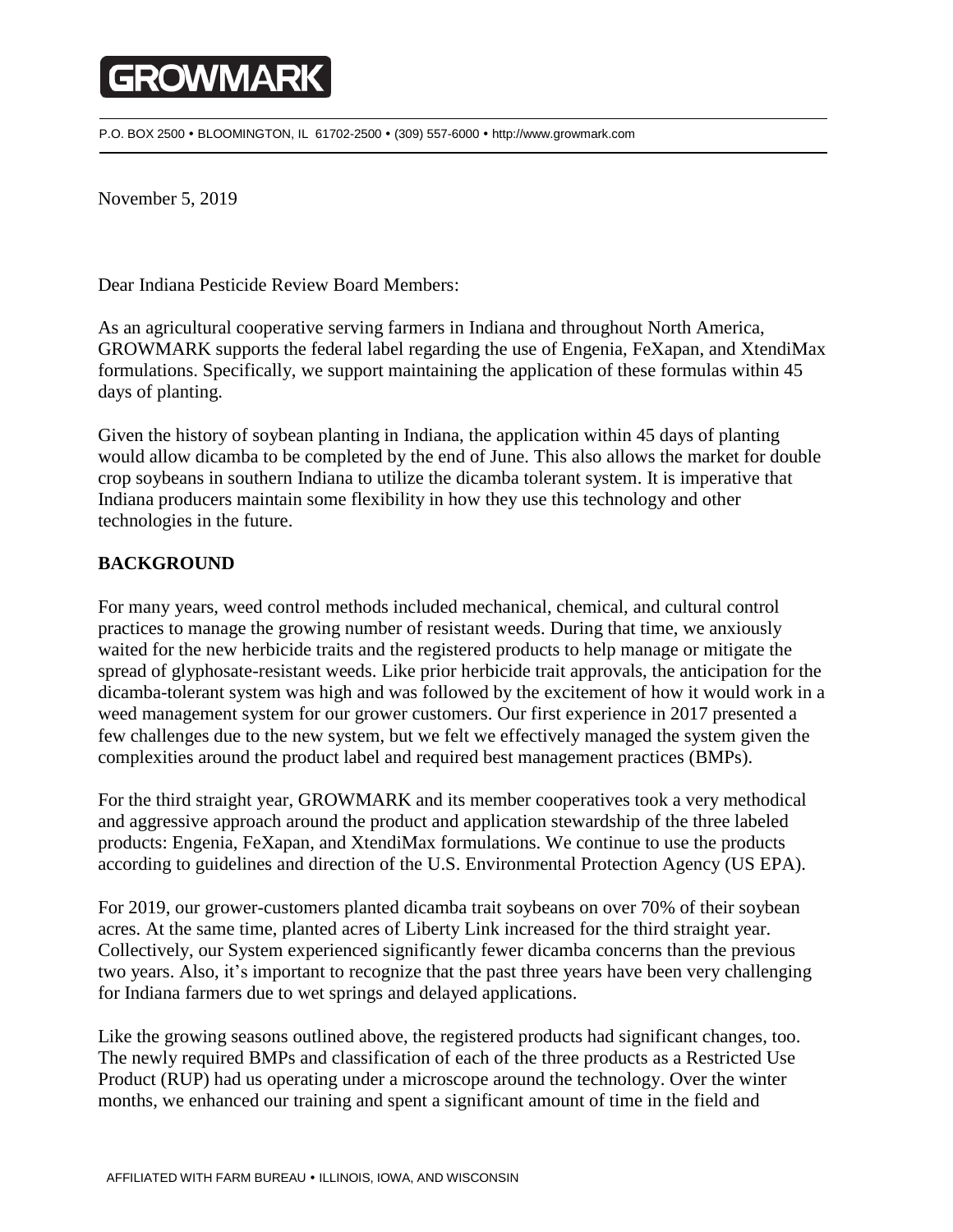## **GROWMARK**

P.O. BOX 2500 BLOOMINGTON, IL 61702-2500 (309) 557-6000 http://www.growmark.com

November 5, 2019

Dear Indiana Pesticide Review Board Members:

As an agricultural cooperative serving farmers in Indiana and throughout North America, GROWMARK supports the federal label regarding the use of Engenia, FeXapan, and XtendiMax formulations. Specifically, we support maintaining the application of these formulas within 45 days of planting.

Given the history of soybean planting in Indiana, the application within 45 days of planting would allow dicamba to be completed by the end of June. This also allows the market for double crop soybeans in southern Indiana to utilize the dicamba tolerant system. It is imperative that Indiana producers maintain some flexibility in how they use this technology and other technologies in the future.

## **BACKGROUND**

For many years, weed control methods included mechanical, chemical, and cultural control practices to manage the growing number of resistant weeds. During that time, we anxiously waited for the new herbicide traits and the registered products to help manage or mitigate the spread of glyphosate-resistant weeds. Like prior herbicide trait approvals, the anticipation for the dicamba-tolerant system was high and was followed by the excitement of how it would work in a weed management system for our grower customers. Our first experience in 2017 presented a few challenges due to the new system, but we felt we effectively managed the system given the complexities around the product label and required best management practices (BMPs).

For the third straight year, GROWMARK and its member cooperatives took a very methodical and aggressive approach around the product and application stewardship of the three labeled products: Engenia, FeXapan, and XtendiMax formulations. We continue to use the products according to guidelines and direction of the U.S. Environmental Protection Agency (US EPA).

For 2019, our grower-customers planted dicamba trait soybeans on over 70% of their soybean acres. At the same time, planted acres of Liberty Link increased for the third straight year. Collectively, our System experienced significantly fewer dicamba concerns than the previous two years. Also, it's important to recognize that the past three years have been very challenging for Indiana farmers due to wet springs and delayed applications.

Like the growing seasons outlined above, the registered products had significant changes, too. The newly required BMPs and classification of each of the three products as a Restricted Use Product (RUP) had us operating under a microscope around the technology. Over the winter months, we enhanced our training and spent a significant amount of time in the field and